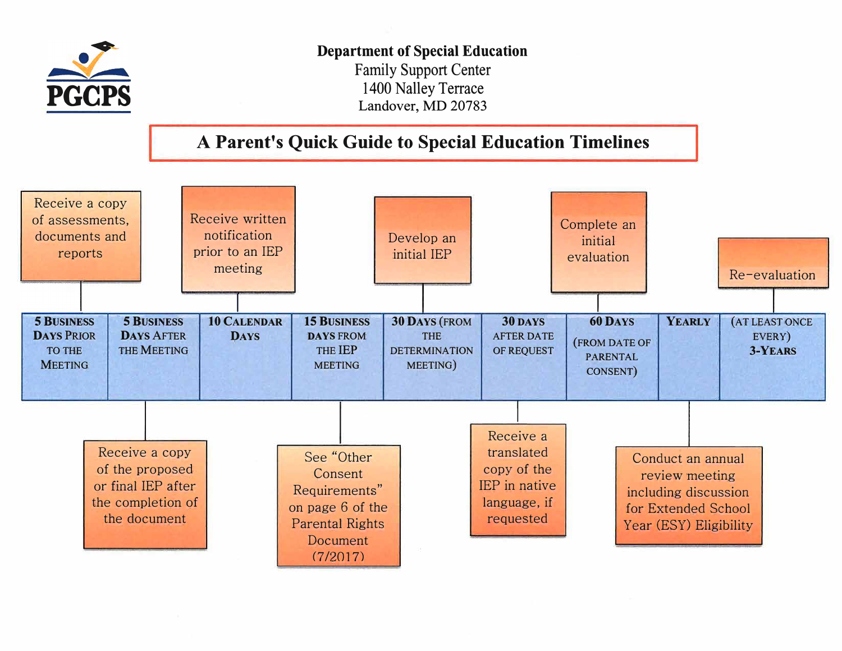

## Department of Special Education

Family Support Center 1400 Nalley Terrace Landover, MD 20783

## **A Parent's Quick Guide to Special Education Timelines**